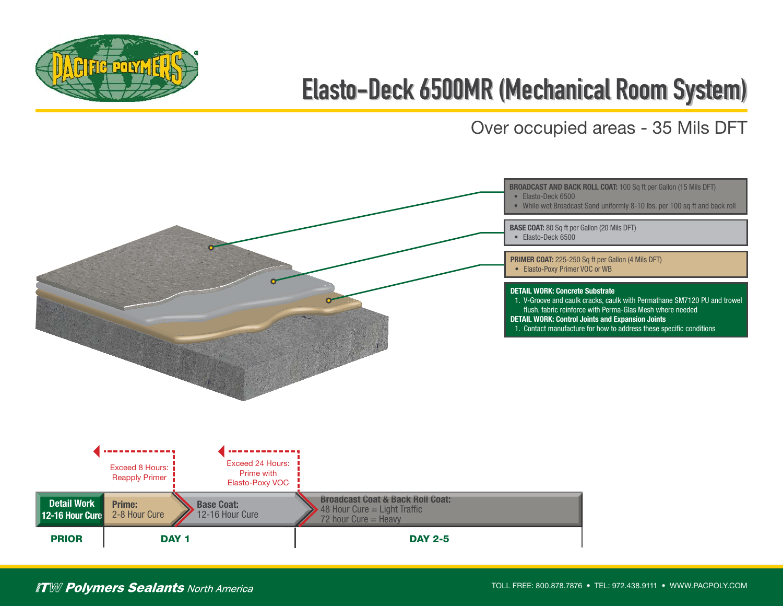

## **Elasto-Deck 6500MR (Mechanical Room System)**

Over occupied areas - 35 Mils DFT



## **ITW Polymers Sealants North America**